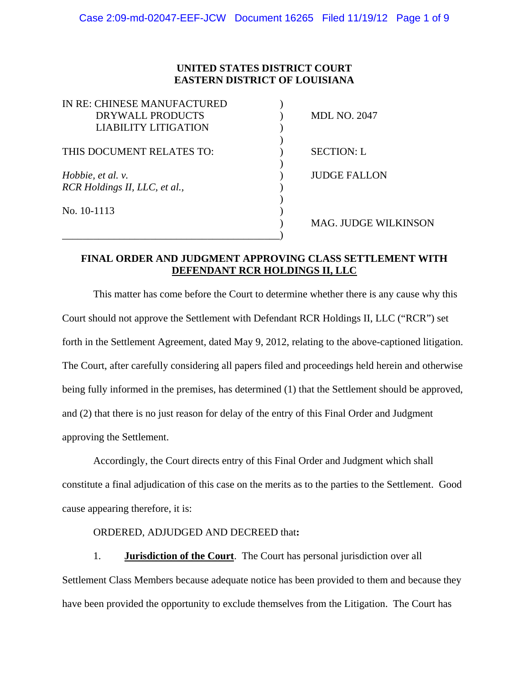# **UNITED STATES DISTRICT COURT EASTERN DISTRICT OF LOUISIANA**

| IN RE: CHINESE MANUFACTURED   |                             |
|-------------------------------|-----------------------------|
| DRYWALL PRODUCTS              | <b>MDL NO. 2047</b>         |
| <b>LIABILITY LITIGATION</b>   |                             |
|                               |                             |
| THIS DOCUMENT RELATES TO:     | <b>SECTION: L</b>           |
|                               |                             |
| Hobbie, et al. v.             | <b>JUDGE FALLON</b>         |
| RCR Holdings II, LLC, et al., |                             |
|                               |                             |
| No. 10-1113                   |                             |
|                               | <b>MAG. JUDGE WILKINSON</b> |
|                               |                             |

## **FINAL ORDER AND JUDGMENT APPROVING CLASS SETTLEMENT WITH DEFENDANT RCR HOLDINGS II, LLC**

This matter has come before the Court to determine whether there is any cause why this Court should not approve the Settlement with Defendant RCR Holdings II, LLC ("RCR") set forth in the Settlement Agreement, dated May 9, 2012, relating to the above-captioned litigation. The Court, after carefully considering all papers filed and proceedings held herein and otherwise being fully informed in the premises, has determined (1) that the Settlement should be approved, and (2) that there is no just reason for delay of the entry of this Final Order and Judgment approving the Settlement.

Accordingly, the Court directs entry of this Final Order and Judgment which shall constitute a final adjudication of this case on the merits as to the parties to the Settlement. Good cause appearing therefore, it is:

### ORDERED, ADJUDGED AND DECREED that**:**

1. **Jurisdiction of the Court**. The Court has personal jurisdiction over all Settlement Class Members because adequate notice has been provided to them and because they have been provided the opportunity to exclude themselves from the Litigation. The Court has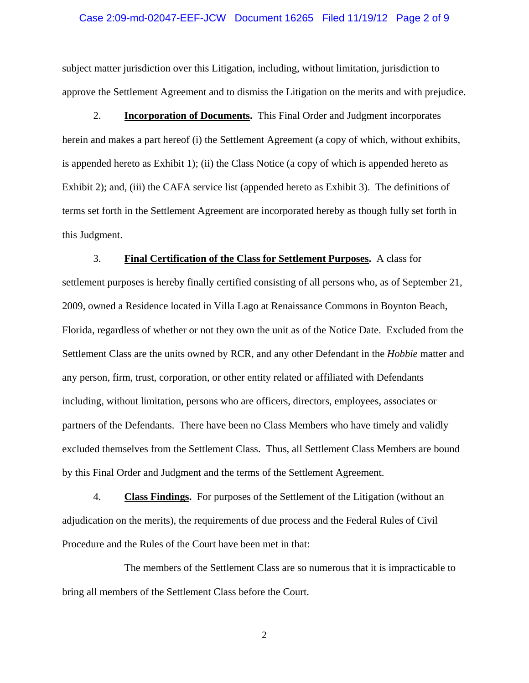#### Case 2:09-md-02047-EEF-JCW Document 16265 Filed 11/19/12 Page 2 of 9

subject matter jurisdiction over this Litigation, including, without limitation, jurisdiction to approve the Settlement Agreement and to dismiss the Litigation on the merits and with prejudice.

2. **Incorporation of Documents.** This Final Order and Judgment incorporates herein and makes a part hereof (i) the Settlement Agreement (a copy of which, without exhibits, is appended hereto as Exhibit 1); (ii) the Class Notice (a copy of which is appended hereto as Exhibit 2); and, (iii) the CAFA service list (appended hereto as Exhibit 3). The definitions of terms set forth in the Settlement Agreement are incorporated hereby as though fully set forth in this Judgment.

3. **Final Certification of the Class for Settlement Purposes.** A class for settlement purposes is hereby finally certified consisting of all persons who, as of September 21, 2009, owned a Residence located in Villa Lago at Renaissance Commons in Boynton Beach, Florida, regardless of whether or not they own the unit as of the Notice Date. Excluded from the Settlement Class are the units owned by RCR, and any other Defendant in the *Hobbie* matter and any person, firm, trust, corporation, or other entity related or affiliated with Defendants including, without limitation, persons who are officers, directors, employees, associates or partners of the Defendants. There have been no Class Members who have timely and validly excluded themselves from the Settlement Class. Thus, all Settlement Class Members are bound by this Final Order and Judgment and the terms of the Settlement Agreement.

4. **Class Findings.** For purposes of the Settlement of the Litigation (without an adjudication on the merits), the requirements of due process and the Federal Rules of Civil Procedure and the Rules of the Court have been met in that:

 The members of the Settlement Class are so numerous that it is impracticable to bring all members of the Settlement Class before the Court.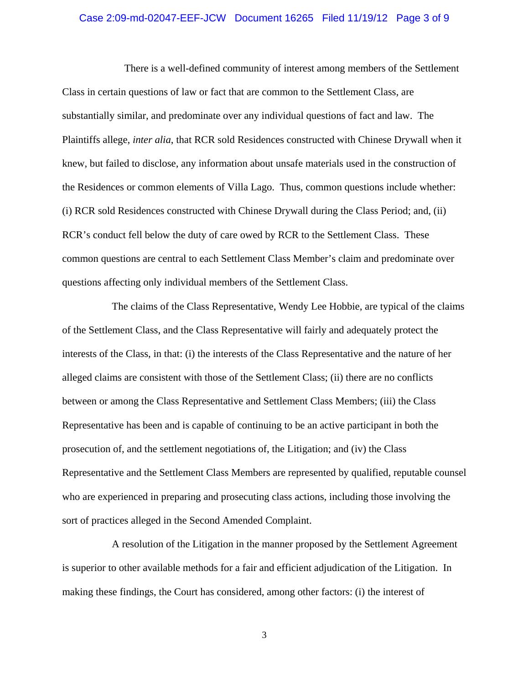#### Case 2:09-md-02047-EEF-JCW Document 16265 Filed 11/19/12 Page 3 of 9

 There is a well-defined community of interest among members of the Settlement Class in certain questions of law or fact that are common to the Settlement Class, are substantially similar, and predominate over any individual questions of fact and law. The Plaintiffs allege, *inter alia*, that RCR sold Residences constructed with Chinese Drywall when it knew, but failed to disclose, any information about unsafe materials used in the construction of the Residences or common elements of Villa Lago. Thus, common questions include whether: (i) RCR sold Residences constructed with Chinese Drywall during the Class Period; and, (ii) RCR's conduct fell below the duty of care owed by RCR to the Settlement Class. These common questions are central to each Settlement Class Member's claim and predominate over questions affecting only individual members of the Settlement Class.

The claims of the Class Representative, Wendy Lee Hobbie, are typical of the claims of the Settlement Class, and the Class Representative will fairly and adequately protect the interests of the Class, in that: (i) the interests of the Class Representative and the nature of her alleged claims are consistent with those of the Settlement Class; (ii) there are no conflicts between or among the Class Representative and Settlement Class Members; (iii) the Class Representative has been and is capable of continuing to be an active participant in both the prosecution of, and the settlement negotiations of, the Litigation; and (iv) the Class Representative and the Settlement Class Members are represented by qualified, reputable counsel who are experienced in preparing and prosecuting class actions, including those involving the sort of practices alleged in the Second Amended Complaint.

A resolution of the Litigation in the manner proposed by the Settlement Agreement is superior to other available methods for a fair and efficient adjudication of the Litigation. In making these findings, the Court has considered, among other factors: (i) the interest of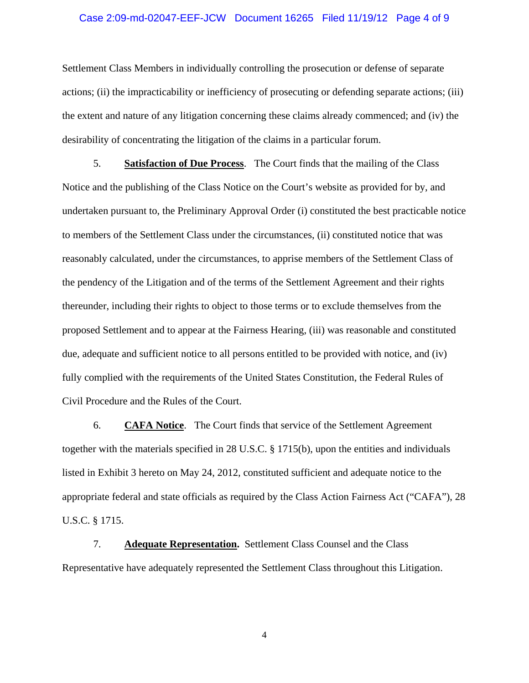#### Case 2:09-md-02047-EEF-JCW Document 16265 Filed 11/19/12 Page 4 of 9

Settlement Class Members in individually controlling the prosecution or defense of separate actions; (ii) the impracticability or inefficiency of prosecuting or defending separate actions; (iii) the extent and nature of any litigation concerning these claims already commenced; and (iv) the desirability of concentrating the litigation of the claims in a particular forum.

5. **Satisfaction of Due Process**. The Court finds that the mailing of the Class Notice and the publishing of the Class Notice on the Court's website as provided for by, and undertaken pursuant to, the Preliminary Approval Order (i) constituted the best practicable notice to members of the Settlement Class under the circumstances, (ii) constituted notice that was reasonably calculated, under the circumstances, to apprise members of the Settlement Class of the pendency of the Litigation and of the terms of the Settlement Agreement and their rights thereunder, including their rights to object to those terms or to exclude themselves from the proposed Settlement and to appear at the Fairness Hearing, (iii) was reasonable and constituted due, adequate and sufficient notice to all persons entitled to be provided with notice, and (iv) fully complied with the requirements of the United States Constitution, the Federal Rules of Civil Procedure and the Rules of the Court.

6. **CAFA Notice**. The Court finds that service of the Settlement Agreement together with the materials specified in 28 U.S.C. § 1715(b), upon the entities and individuals listed in Exhibit 3 hereto on May 24, 2012, constituted sufficient and adequate notice to the appropriate federal and state officials as required by the Class Action Fairness Act ("CAFA"), 28 U.S.C. § 1715.

7. **Adequate Representation.** Settlement Class Counsel and the Class Representative have adequately represented the Settlement Class throughout this Litigation.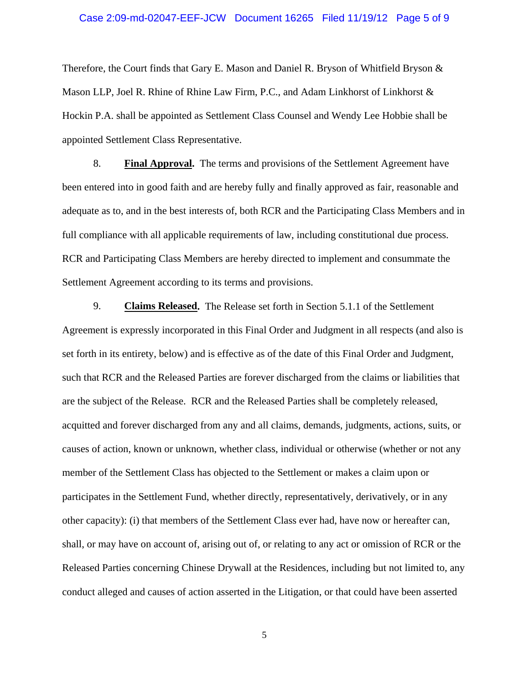#### Case 2:09-md-02047-EEF-JCW Document 16265 Filed 11/19/12 Page 5 of 9

Therefore, the Court finds that Gary E. Mason and Daniel R. Bryson of Whitfield Bryson  $\&$ Mason LLP, Joel R. Rhine of Rhine Law Firm, P.C., and Adam Linkhorst of Linkhorst & Hockin P.A. shall be appointed as Settlement Class Counsel and Wendy Lee Hobbie shall be appointed Settlement Class Representative.

8. **Final Approval.** The terms and provisions of the Settlement Agreement have been entered into in good faith and are hereby fully and finally approved as fair, reasonable and adequate as to, and in the best interests of, both RCR and the Participating Class Members and in full compliance with all applicable requirements of law, including constitutional due process. RCR and Participating Class Members are hereby directed to implement and consummate the Settlement Agreement according to its terms and provisions.

9. **Claims Released.** The Release set forth in Section 5.1.1 of the Settlement Agreement is expressly incorporated in this Final Order and Judgment in all respects (and also is set forth in its entirety, below) and is effective as of the date of this Final Order and Judgment, such that RCR and the Released Parties are forever discharged from the claims or liabilities that are the subject of the Release. RCR and the Released Parties shall be completely released, acquitted and forever discharged from any and all claims, demands, judgments, actions, suits, or causes of action, known or unknown, whether class, individual or otherwise (whether or not any member of the Settlement Class has objected to the Settlement or makes a claim upon or participates in the Settlement Fund, whether directly, representatively, derivatively, or in any other capacity): (i) that members of the Settlement Class ever had, have now or hereafter can, shall, or may have on account of, arising out of, or relating to any act or omission of RCR or the Released Parties concerning Chinese Drywall at the Residences, including but not limited to, any conduct alleged and causes of action asserted in the Litigation, or that could have been asserted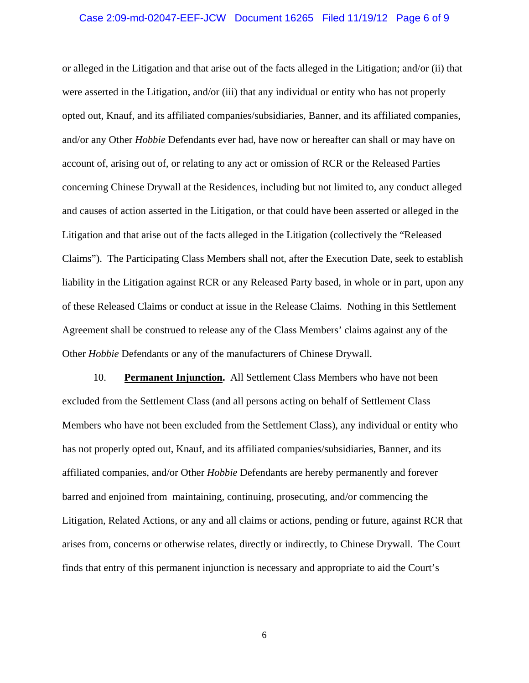#### Case 2:09-md-02047-EEF-JCW Document 16265 Filed 11/19/12 Page 6 of 9

or alleged in the Litigation and that arise out of the facts alleged in the Litigation; and/or (ii) that were asserted in the Litigation, and/or (iii) that any individual or entity who has not properly opted out, Knauf, and its affiliated companies/subsidiaries, Banner, and its affiliated companies, and/or any Other *Hobbie* Defendants ever had, have now or hereafter can shall or may have on account of, arising out of, or relating to any act or omission of RCR or the Released Parties concerning Chinese Drywall at the Residences, including but not limited to, any conduct alleged and causes of action asserted in the Litigation, or that could have been asserted or alleged in the Litigation and that arise out of the facts alleged in the Litigation (collectively the "Released Claims"). The Participating Class Members shall not, after the Execution Date, seek to establish liability in the Litigation against RCR or any Released Party based, in whole or in part, upon any of these Released Claims or conduct at issue in the Release Claims. Nothing in this Settlement Agreement shall be construed to release any of the Class Members' claims against any of the Other *Hobbie* Defendants or any of the manufacturers of Chinese Drywall.

10. **Permanent Injunction.** All Settlement Class Members who have not been excluded from the Settlement Class (and all persons acting on behalf of Settlement Class Members who have not been excluded from the Settlement Class), any individual or entity who has not properly opted out, Knauf, and its affiliated companies/subsidiaries, Banner, and its affiliated companies, and/or Other *Hobbie* Defendants are hereby permanently and forever barred and enjoined from maintaining, continuing, prosecuting, and/or commencing the Litigation, Related Actions, or any and all claims or actions, pending or future, against RCR that arises from, concerns or otherwise relates, directly or indirectly, to Chinese Drywall. The Court finds that entry of this permanent injunction is necessary and appropriate to aid the Court's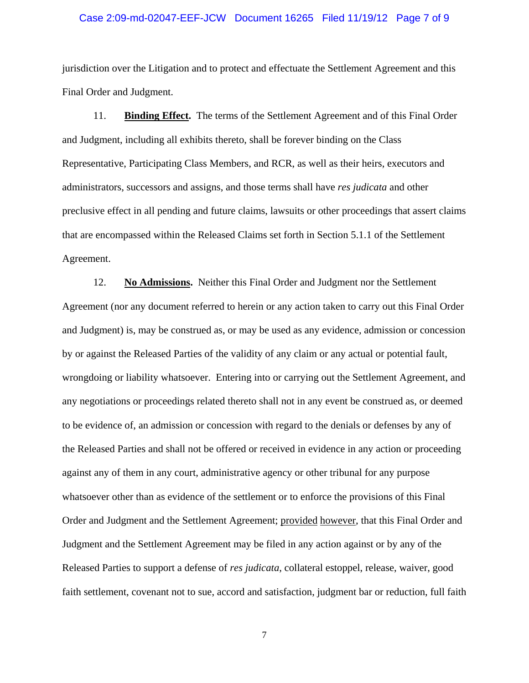#### Case 2:09-md-02047-EEF-JCW Document 16265 Filed 11/19/12 Page 7 of 9

jurisdiction over the Litigation and to protect and effectuate the Settlement Agreement and this Final Order and Judgment.

11. **Binding Effect.** The terms of the Settlement Agreement and of this Final Order and Judgment, including all exhibits thereto, shall be forever binding on the Class Representative, Participating Class Members, and RCR, as well as their heirs, executors and administrators, successors and assigns, and those terms shall have *res judicata* and other preclusive effect in all pending and future claims, lawsuits or other proceedings that assert claims that are encompassed within the Released Claims set forth in Section 5.1.1 of the Settlement Agreement.

12. **No Admissions.** Neither this Final Order and Judgment nor the Settlement Agreement (nor any document referred to herein or any action taken to carry out this Final Order and Judgment) is, may be construed as, or may be used as any evidence, admission or concession by or against the Released Parties of the validity of any claim or any actual or potential fault, wrongdoing or liability whatsoever. Entering into or carrying out the Settlement Agreement, and any negotiations or proceedings related thereto shall not in any event be construed as, or deemed to be evidence of, an admission or concession with regard to the denials or defenses by any of the Released Parties and shall not be offered or received in evidence in any action or proceeding against any of them in any court, administrative agency or other tribunal for any purpose whatsoever other than as evidence of the settlement or to enforce the provisions of this Final Order and Judgment and the Settlement Agreement; provided however, that this Final Order and Judgment and the Settlement Agreement may be filed in any action against or by any of the Released Parties to support a defense of *res judicata*, collateral estoppel, release, waiver, good faith settlement, covenant not to sue, accord and satisfaction, judgment bar or reduction, full faith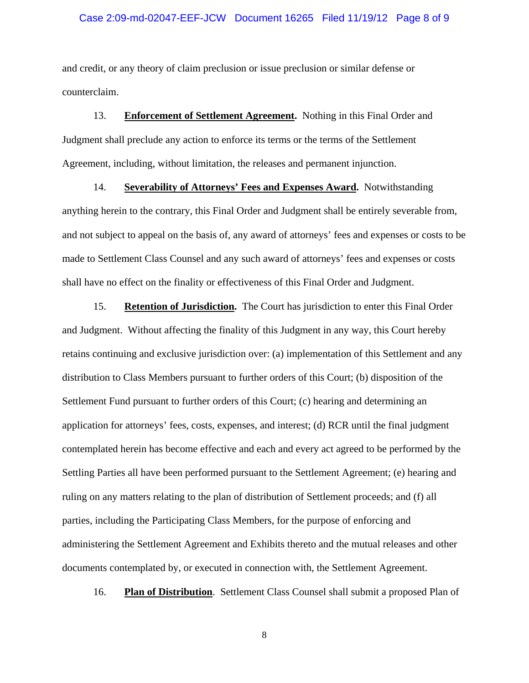#### Case 2:09-md-02047-EEF-JCW Document 16265 Filed 11/19/12 Page 8 of 9

and credit, or any theory of claim preclusion or issue preclusion or similar defense or counterclaim.

13. **Enforcement of Settlement Agreement.** Nothing in this Final Order and Judgment shall preclude any action to enforce its terms or the terms of the Settlement Agreement, including, without limitation, the releases and permanent injunction.

14. **Severability of Attorneys' Fees and Expenses Award.** Notwithstanding anything herein to the contrary, this Final Order and Judgment shall be entirely severable from, and not subject to appeal on the basis of, any award of attorneys' fees and expenses or costs to be made to Settlement Class Counsel and any such award of attorneys' fees and expenses or costs shall have no effect on the finality or effectiveness of this Final Order and Judgment.

15. **Retention of Jurisdiction.** The Court has jurisdiction to enter this Final Order and Judgment. Without affecting the finality of this Judgment in any way, this Court hereby retains continuing and exclusive jurisdiction over: (a) implementation of this Settlement and any distribution to Class Members pursuant to further orders of this Court; (b) disposition of the Settlement Fund pursuant to further orders of this Court; (c) hearing and determining an application for attorneys' fees, costs, expenses, and interest; (d) RCR until the final judgment contemplated herein has become effective and each and every act agreed to be performed by the Settling Parties all have been performed pursuant to the Settlement Agreement; (e) hearing and ruling on any matters relating to the plan of distribution of Settlement proceeds; and (f) all parties, including the Participating Class Members, for the purpose of enforcing and administering the Settlement Agreement and Exhibits thereto and the mutual releases and other documents contemplated by, or executed in connection with, the Settlement Agreement.

16. **Plan of Distribution**. Settlement Class Counsel shall submit a proposed Plan of